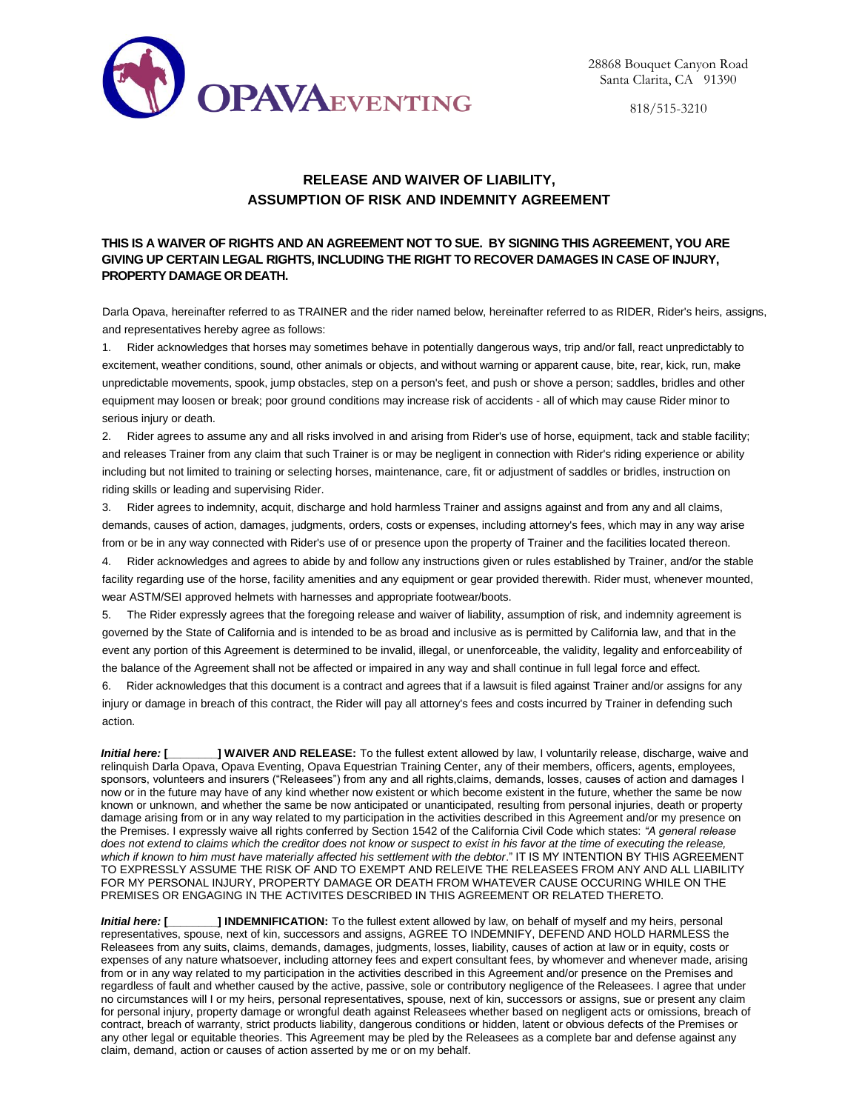

818/515-3210

## **RELEASE AND WAIVER OF LIABILITY, ASSUMPTION OF RISK AND INDEMNITY AGREEMENT**

## **THIS IS A WAIVER OF RIGHTS AND AN AGREEMENT NOT TO SUE. BY SIGNING THIS AGREEMENT, YOU ARE GIVING UP CERTAIN LEGAL RIGHTS, INCLUDING THE RIGHT TO RECOVER DAMAGES IN CASE OF INJURY, PROPERTY DAMAGE OR DEATH.**

Darla Opava, hereinafter referred to as TRAINER and the rider named below, hereinafter referred to as RIDER, Rider's heirs, assigns, and representatives hereby agree as follows:

1. Rider acknowledges that horses may sometimes behave in potentially dangerous ways, trip and/or fall, react unpredictably to excitement, weather conditions, sound, other animals or objects, and without warning or apparent cause, bite, rear, kick, run, make unpredictable movements, spook, jump obstacles, step on a person's feet, and push or shove a person; saddles, bridles and other equipment may loosen or break; poor ground conditions may increase risk of accidents - all of which may cause Rider minor to serious injury or death.

2. Rider agrees to assume any and all risks involved in and arising from Rider's use of horse, equipment, tack and stable facility; and releases Trainer from any claim that such Trainer is or may be negligent in connection with Rider's riding experience or ability including but not limited to training or selecting horses, maintenance, care, fit or adjustment of saddles or bridles, instruction on riding skills or leading and supervising Rider.

Rider agrees to indemnity, acquit, discharge and hold harmless Trainer and assigns against and from any and all claims, demands, causes of action, damages, judgments, orders, costs or expenses, including attorney's fees, which may in any way arise from or be in any way connected with Rider's use of or presence upon the property of Trainer and the facilities located thereon.

4. Rider acknowledges and agrees to abide by and follow any instructions given or rules established by Trainer, and/or the stable facility regarding use of the horse, facility amenities and any equipment or gear provided therewith. Rider must, whenever mounted, wear ASTM/SEI approved helmets with harnesses and appropriate footwear/boots.

5. The Rider expressly agrees that the foregoing release and waiver of liability, assumption of risk, and indemnity agreement is governed by the State of California and is intended to be as broad and inclusive as is permitted by California law, and that in the event any portion of this Agreement is determined to be invalid, illegal, or unenforceable, the validity, legality and enforceability of the balance of the Agreement shall not be affected or impaired in any way and shall continue in full legal force and effect.

6. Rider acknowledges that this document is a contract and agrees that if a lawsuit is filed against Trainer and/or assigns for any injury or damage in breach of this contract, the Rider will pay all attorney's fees and costs incurred by Trainer in defending such action.

*Initial here:* **[\_\_\_\_\_\_\_\_] WAIVER AND RELEASE:** To the fullest extent allowed by law, I voluntarily release, discharge, waive and relinquish Darla Opava, Opava Eventing, Opava Equestrian Training Center, any of their members, officers, agents, employees, sponsors, volunteers and insurers ("Releasees") from any and all rights,claims, demands, losses, causes of action and damages I now or in the future may have of any kind whether now existent or which become existent in the future, whether the same be now known or unknown, and whether the same be now anticipated or unanticipated, resulting from personal injuries, death or property damage arising from or in any way related to my participation in the activities described in this Agreement and/or my presence on the Premises. I expressly waive all rights conferred by Section 1542 of the California Civil Code which states: *"A general release does not extend to claims which the creditor does not know or suspect to exist in his favor at the time of executing the release, which if known to him must have materially affected his settlement with the debtor*." IT IS MY INTENTION BY THIS AGREEMENT TO EXPRESSLY ASSUME THE RISK OF AND TO EXEMPT AND RELEIVE THE RELEASEES FROM ANY AND ALL LIABILITY FOR MY PERSONAL INJURY, PROPERTY DAMAGE OR DEATH FROM WHATEVER CAUSE OCCURING WHILE ON THE PREMISES OR ENGAGING IN THE ACTIVITES DESCRIBED IN THIS AGREEMENT OR RELATED THERETO.

*Initial here:* **[\_\_\_\_\_\_\_\_] INDEMNIFICATION:** To the fullest extent allowed by law, on behalf of myself and my heirs, personal representatives, spouse, next of kin, successors and assigns, AGREE TO INDEMNIFY, DEFEND AND HOLD HARMLESS the Releasees from any suits, claims, demands, damages, judgments, losses, liability, causes of action at law or in equity, costs or expenses of any nature whatsoever, including attorney fees and expert consultant fees, by whomever and whenever made, arising from or in any way related to my participation in the activities described in this Agreement and/or presence on the Premises and regardless of fault and whether caused by the active, passive, sole or contributory negligence of the Releasees. I agree that under no circumstances will I or my heirs, personal representatives, spouse, next of kin, successors or assigns, sue or present any claim for personal injury, property damage or wrongful death against Releasees whether based on negligent acts or omissions, breach of contract, breach of warranty, strict products liability, dangerous conditions or hidden, latent or obvious defects of the Premises or any other legal or equitable theories. This Agreement may be pled by the Releasees as a complete bar and defense against any claim, demand, action or causes of action asserted by me or on my behalf.